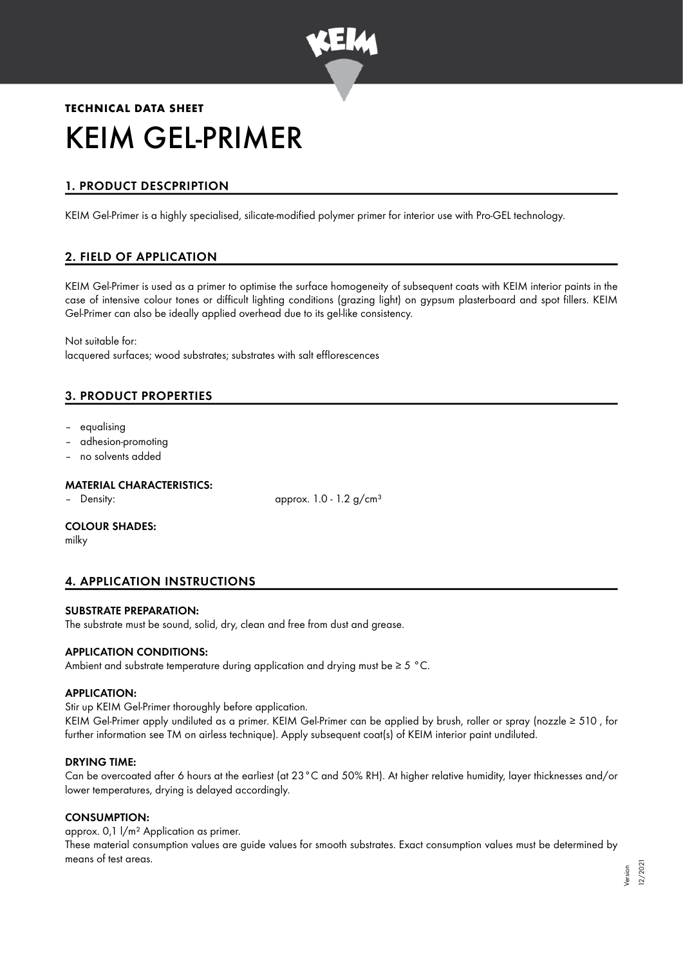

# **TECHNICAL DATA SHEET** KEIM GEL-PRIMER

# 1. PRODUCT DESCPRIPTION

KEIM Gel-Primer is a highly specialised, silicate-modified polymer primer for interior use with Pro-GEL technology.

# 2. FIELD OF APPLICATION

KEIM Gel-Primer is used as a primer to optimise the surface homogeneity of subsequent coats with KEIM interior paints in the case of intensive colour tones or difficult lighting conditions (grazing light) on gypsum plasterboard and spot fillers. KEIM Gel-Primer can also be ideally applied overhead due to its gel-like consistency.

Not suitable for: lacquered surfaces; wood substrates; substrates with salt efflorescences

# 3. PRODUCT PROPERTIES

- equalising
- adhesion-promoting
- no solvents added

## MATERIAL CHARACTERISTICS:

– Density: approx. 1.0 - 1.2 g/cm<sup>3</sup>

#### COLOUR SHADES:

milky

# 4. APPLICATION INSTRUCTIONS

#### SUBSTRATE PREPARATION:

The substrate must be sound, solid, dry, clean and free from dust and grease.

#### APPLICATION CONDITIONS:

Ambient and substrate temperature during application and drying must be ≥ 5 °C.

#### APPLICATION:

Stir up KEIM Gel-Primer thoroughly before application.

KEIM Gel-Primer apply undiluted as a primer. KEIM Gel-Primer can be applied by brush, roller or spray (nozzle ≥ 510 , for further information see TM on airless technique). Apply subsequent coat(s) of KEIM interior paint undiluted.

#### DRYING TIME:

Can be overcoated after 6 hours at the earliest (at 23°C and 50% RH). At higher relative humidity, layer thicknesses and/or lower temperatures, drying is delayed accordingly.

#### CONSUMPTION:

approx. 0,1 l/m² Application as primer.

These material consumption values are guide values for smooth substrates. Exact consumption values must be determined by means of test areas.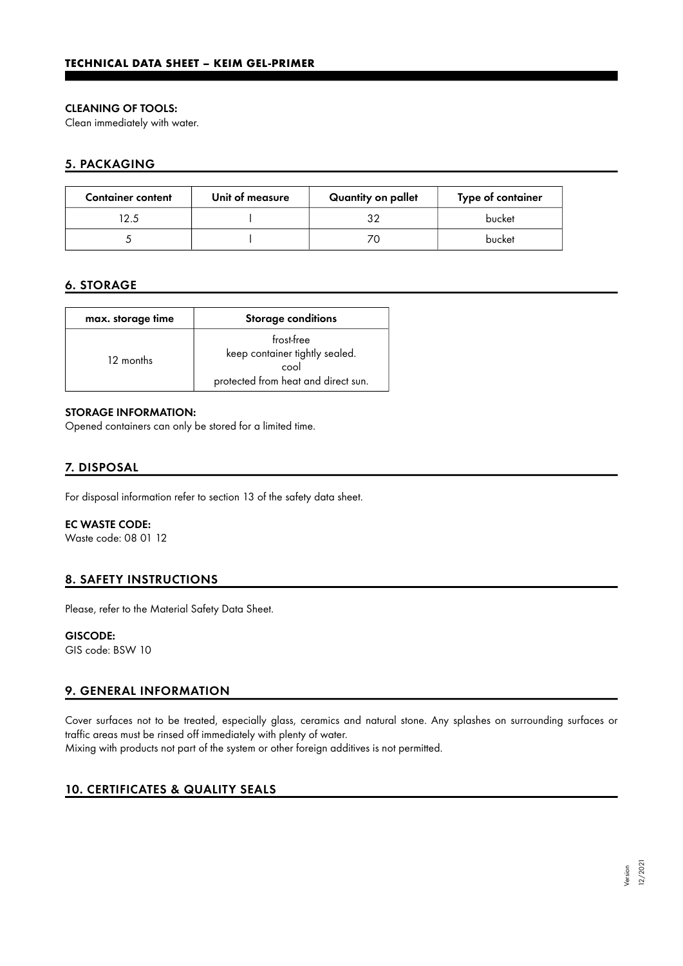## CLEANING OF TOOLS:

Clean immediately with water.

## 5. PACKAGING

| <b>Container content</b> | Unit of measure | Quantity on pallet | Type of container |
|--------------------------|-----------------|--------------------|-------------------|
| 12.5                     |                 | っっ                 | bucket            |
|                          |                 | 70                 | bucket            |

## 6. STORAGE

| max. storage time | <b>Storage conditions</b>                                                                   |
|-------------------|---------------------------------------------------------------------------------------------|
| 12 months         | frost-free<br>keep container tightly sealed.<br>cool<br>protected from heat and direct sun. |

#### STORAGE INFORMATION:

Opened containers can only be stored for a limited time.

## 7. DISPOSAL

For disposal information refer to section 13 of the safety data sheet.

## EC WASTE CODE:

Waste code: 08 01 12

## 8. SAFETY INSTRUCTIONS

Please, refer to the Material Safety Data Sheet.

## GISCODE:

GIS code: BSW 10

# 9. GENERAL INFORMATION

Cover surfaces not to be treated, especially glass, ceramics and natural stone. Any splashes on surrounding surfaces or traffic areas must be rinsed off immediately with plenty of water.

Mixing with products not part of the system or other foreign additives is not permitted.

# 10. CERTIFICATES & QUALITY SEALS